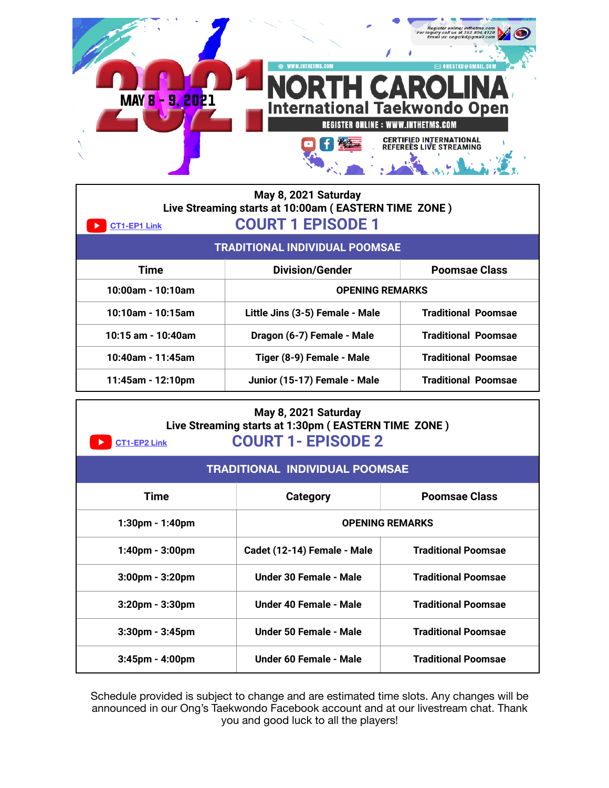|                            | Register online: inthetms.com<br>For inquiry call us at 352.804.4120<br>Email us: ongstkd@gmail.com |
|----------------------------|-----------------------------------------------------------------------------------------------------|
|                            | WWW.INTHETMS.COM<br>$\boxtimes$ ONGSTKD@GMAIL.COI                                                   |
| $-9, 2021$<br><b>MAY 8</b> | <b>ORTH CAROLI</b><br><b>International Taekwondo Open</b>                                           |
|                            | <b>REGISTER ONLINE : WWW.INTHETMS.COM</b>                                                           |
|                            | <b>CERTIFIED INTERNATIONAL</b><br>REFEREES LIVE STREAMING                                           |

| May 8, 2021 Saturday<br>Live Streaming starts at 10:00am (EASTERN TIME ZONE)<br><b>COURT 1 EPISODE 1</b><br><b>CT1-EP1 Link</b> |                                 |                            |
|---------------------------------------------------------------------------------------------------------------------------------|---------------------------------|----------------------------|
| <b>TRADITIONAL INDIVIDUAL POOMSAE</b>                                                                                           |                                 |                            |
| <b>Time</b>                                                                                                                     | <b>Division/Gender</b>          | <b>Poomsae Class</b>       |
| 10:00am - 10:10am                                                                                                               | <b>OPENING REMARKS</b>          |                            |
| 10:10am - 10:15am                                                                                                               | Little Jins (3-5) Female - Male | <b>Traditional Poomsae</b> |
| 10:15 am - 10:40am                                                                                                              | Dragon (6-7) Female - Male      | <b>Traditional Poomsae</b> |
| 10:40am - 11:45am                                                                                                               | Tiger (8-9) Female - Male       | <b>Traditional Poomsae</b> |
| 11:45am - 12:10pm                                                                                                               | Junior (15-17) Female - Male    | <b>Traditional Poomsae</b> |

## **May 8, 2021 Saturday Live Streaming starts at 1:30pm ( EASTERN TIME ZONE ) COURT 1- EPISODE 2 [CT1-EP2 Link](https://youtu.be/w1a8Yv5ZGXk)**

| <u>.</u><br>UUUINI ILIIUUDL <i>L</i>  |                             |                            |  |
|---------------------------------------|-----------------------------|----------------------------|--|
| <b>TRADITIONAL INDIVIDUAL POOMSAE</b> |                             |                            |  |
| Time                                  | Category                    | <b>Poomsae Class</b>       |  |
| 1:30pm - 1:40pm                       | <b>OPENING REMARKS</b>      |                            |  |
| 1:40pm - 3:00pm                       | Cadet (12-14) Female - Male | <b>Traditional Poomsae</b> |  |
| 3:00pm - 3:20pm                       | Under 30 Female - Male      | <b>Traditional Poomsae</b> |  |
| 3:20pm - 3:30pm                       | Under 40 Female - Male      | <b>Traditional Poomsae</b> |  |
| $3:30$ pm - $3:45$ pm                 | Under 50 Female - Male      | <b>Traditional Poomsae</b> |  |
| $3:45$ pm - $4:00$ pm                 | Under 60 Female - Male      | <b>Traditional Poomsae</b> |  |

Schedule provided is subject to change and are estimated time slots. Any changes will be announced in our Ong's Taekwondo Facebook account and at our livestream chat. Thank you and good luck to all the players!